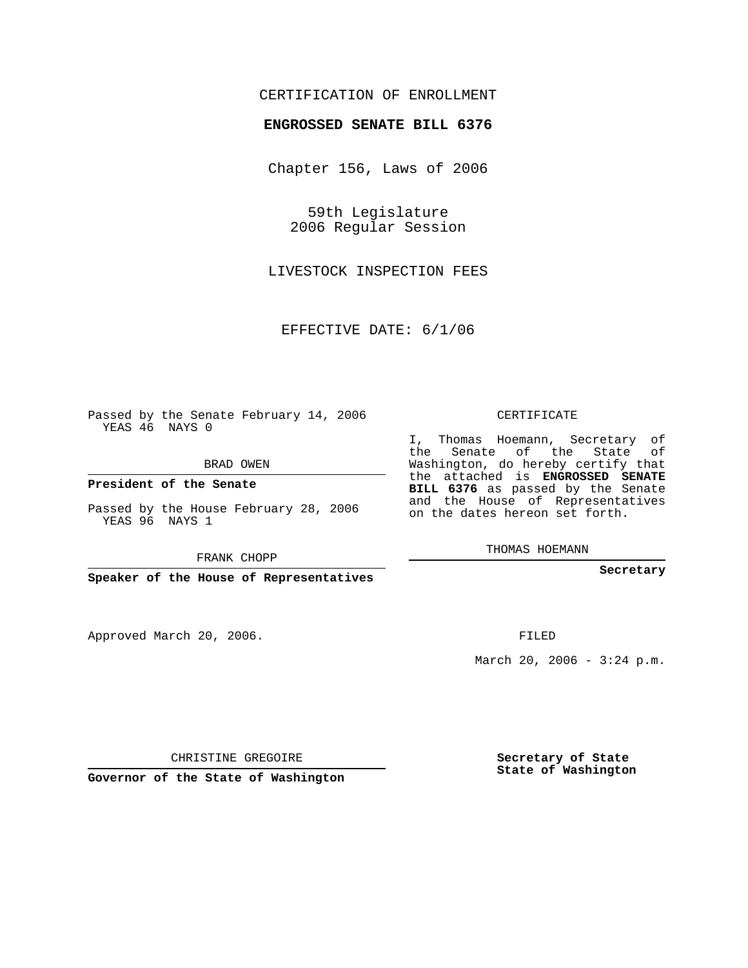## CERTIFICATION OF ENROLLMENT

## **ENGROSSED SENATE BILL 6376**

Chapter 156, Laws of 2006

59th Legislature 2006 Regular Session

LIVESTOCK INSPECTION FEES

EFFECTIVE DATE: 6/1/06

Passed by the Senate February 14, 2006 YEAS 46 NAYS 0

BRAD OWEN

**President of the Senate**

Passed by the House February 28, 2006 YEAS 96 NAYS 1

FRANK CHOPP

**Speaker of the House of Representatives**

Approved March 20, 2006.

CERTIFICATE

I, Thomas Hoemann, Secretary of the Senate of the State of Washington, do hereby certify that the attached is **ENGROSSED SENATE BILL 6376** as passed by the Senate and the House of Representatives on the dates hereon set forth.

THOMAS HOEMANN

**Secretary**

FILED

March 20, 2006 -  $3:24$  p.m.

CHRISTINE GREGOIRE

**Governor of the State of Washington**

**Secretary of State State of Washington**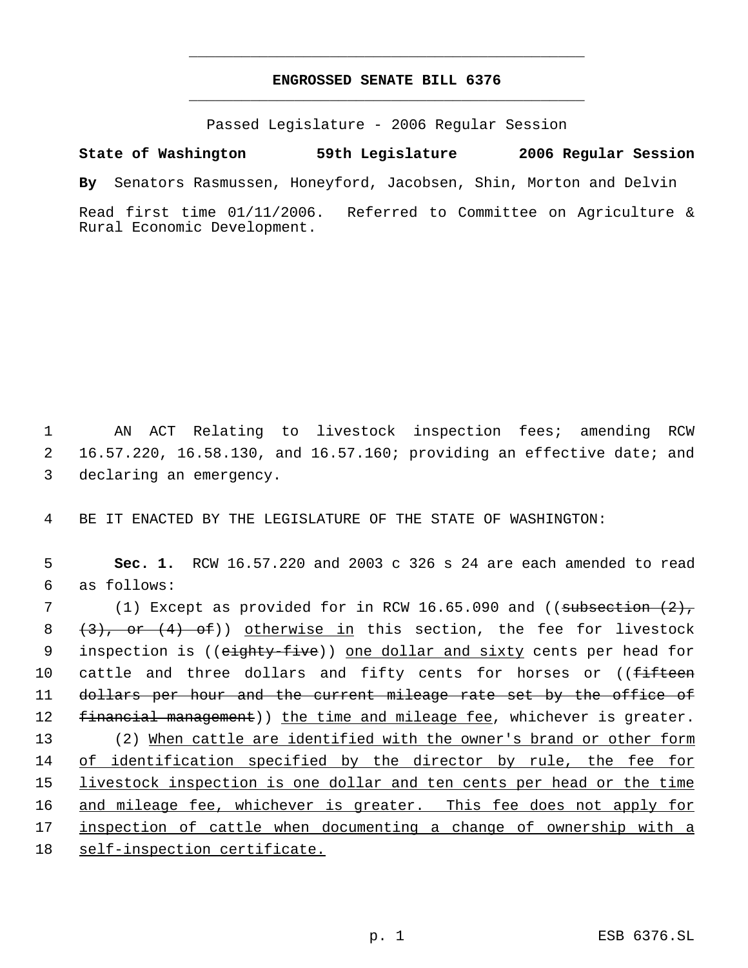## **ENGROSSED SENATE BILL 6376** \_\_\_\_\_\_\_\_\_\_\_\_\_\_\_\_\_\_\_\_\_\_\_\_\_\_\_\_\_\_\_\_\_\_\_\_\_\_\_\_\_\_\_\_\_

\_\_\_\_\_\_\_\_\_\_\_\_\_\_\_\_\_\_\_\_\_\_\_\_\_\_\_\_\_\_\_\_\_\_\_\_\_\_\_\_\_\_\_\_\_

Passed Legislature - 2006 Regular Session

**State of Washington 59th Legislature 2006 Regular Session By** Senators Rasmussen, Honeyford, Jacobsen, Shin, Morton and Delvin Read first time 01/11/2006. Referred to Committee on Agriculture & Rural Economic Development.

 1 AN ACT Relating to livestock inspection fees; amending RCW 2 16.57.220, 16.58.130, and 16.57.160; providing an effective date; and 3 declaring an emergency.

4 BE IT ENACTED BY THE LEGISLATURE OF THE STATE OF WASHINGTON:

 5 **Sec. 1.** RCW 16.57.220 and 2003 c 326 s 24 are each amended to read 6 as follows:

7 (1) Except as provided for in RCW 16.65.090 and ((subsection (2), 8  $(3)$ , or  $(4)$  of)) otherwise in this section, the fee for livestock 9 inspection is ((eighty-five)) one dollar and sixty cents per head for 10 cattle and three dollars and fifty cents for horses or ((<del>fifteen</del> 11 dollars per hour and the current mileage rate set by the office of 12 financial management)) the time and mileage fee, whichever is greater. 13 (2) When cattle are identified with the owner's brand or other form 14 of identification specified by the director by rule, the fee for 15 livestock inspection is one dollar and ten cents per head or the time 16 and mileage fee, whichever is greater. This fee does not apply for 17 inspection of cattle when documenting a change of ownership with a 18 self-inspection certificate.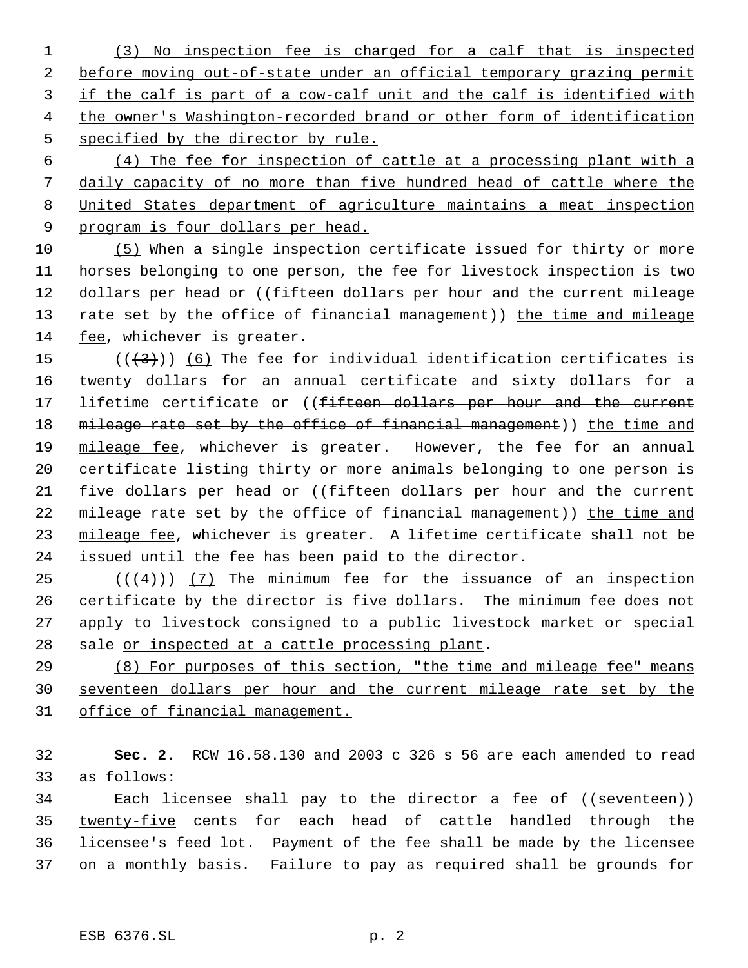(3) No inspection fee is charged for a calf that is inspected before moving out-of-state under an official temporary grazing permit 3 if the calf is part of a cow-calf unit and the calf is identified with the owner's Washington-recorded brand or other form of identification specified by the director by rule.

 (4) The fee for inspection of cattle at a processing plant with a daily capacity of no more than five hundred head of cattle where the United States department of agriculture maintains a meat inspection 9 program is four dollars per head.

 (5) When a single inspection certificate issued for thirty or more horses belonging to one person, the fee for livestock inspection is two 12 dollars per head or ((fifteen dollars per hour and the current mileage 13 rate set by the office of financial management)) the time and mileage fee, whichever is greater.

15  $((+3))$  (6) The fee for individual identification certificates is twenty dollars for an annual certificate and sixty dollars for a 17 lifetime certificate or ((fifteen dollars per hour and the current 18 mileage rate set by the office of financial management)) the time and 19 mileage fee, whichever is greater. However, the fee for an annual certificate listing thirty or more animals belonging to one person is 21 five dollars per head or ((fifteen dollars per hour and the current 22 mileage rate set by the office of financial management)) the time and 23 mileage fee, whichever is greater. A lifetime certificate shall not be issued until the fee has been paid to the director.

 $((4+))$  (7) The minimum fee for the issuance of an inspection certificate by the director is five dollars. The minimum fee does not apply to livestock consigned to a public livestock market or special 28 sale or inspected at a cattle processing plant.

 (8) For purposes of this section, "the time and mileage fee" means seventeen dollars per hour and the current mileage rate set by the office of financial management.

 **Sec. 2.** RCW 16.58.130 and 2003 c 326 s 56 are each amended to read as follows:

34 Each licensee shall pay to the director a fee of ((seventeen)) twenty-five cents for each head of cattle handled through the licensee's feed lot. Payment of the fee shall be made by the licensee on a monthly basis. Failure to pay as required shall be grounds for